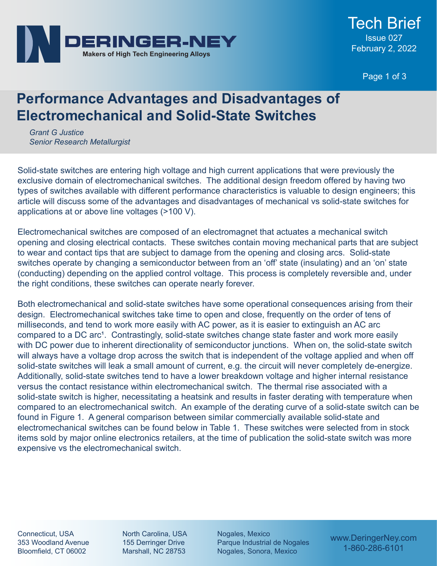

Page 1 of 3

## **Performance Advantages and Disadvantages of Electromechanical and Solid-State Switches**

*Grant G Justice Senior Research Metallurgist*

Solid-state switches are entering high voltage and high current applications that were previously the exclusive domain of electromechanical switches. The additional design freedom offered by having two types of switches available with different performance characteristics is valuable to design engineers; this article will discuss some of the advantages and disadvantages of mechanical vs solid-state switches for applications at or above line voltages (>100 V).

Electromechanical switches are composed of an electromagnet that actuates a mechanical switch opening and closing electrical contacts. These switches contain moving mechanical parts that are subject to wear and contact tips that are subject to damage from the opening and closing arcs. Solid-state switches operate by changing a semiconductor between from an 'off' state (insulating) and an 'on' state (conducting) depending on the applied control voltage. This process is completely reversible and, under the right conditions, these switches can operate nearly forever.

Both electromechanical and solid-state switches have some operational consequences arising from their design. Electromechanical switches take time to open and close, frequently on the order of tens of milliseconds, and tend to work more easily with AC power, as it is easier to extinguish an AC arc compared to a DC arc<sup>1</sup>. Contrastingly, solid-state switches change state faster and work more easily with DC power due to inherent directionality of semiconductor junctions. When on, the solid-state switch will always have a voltage drop across the switch that is independent of the voltage applied and when off solid-state switches will leak a small amount of current, e.g. the circuit will never completely de-energize. Additionally, solid-state switches tend to have a lower breakdown voltage and higher internal resistance versus the contact resistance within electromechanical switch. The thermal rise associated with a solid-state switch is higher, necessitating a heatsink and results in faster derating with temperature when compared to an electromechanical switch. An example of the derating curve of a solid-state switch can be found in Figure 1. A general comparison between similar commercially available solid-state and electromechanical switches can be found below in Table 1. These switches were selected from in stock items sold by major online electronics retailers, at the time of publication the solid-state switch was more expensive vs the electromechanical switch.

Connecticut, USA 353 Woodland Avenue Bloomfield, CT 06002

North Carolina, USA 155 Derringer Drive Marshall, NC 28753

Nogales, Mexico Parque Industrial de Nogales Nogales, Sonora, Mexico

www.DeringerNey.com 1-860-286-6101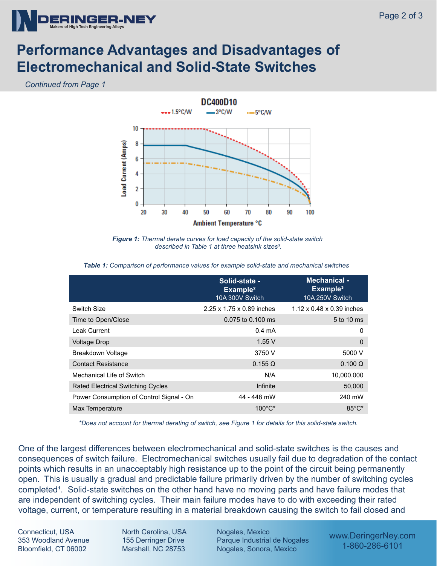

## **Performance Advantages and Disadvantages of Electromechanical and Solid-State Switches**

*Continued from Page 1*



*Figure 1: Thermal derate curves for load capacity of the solid-state switch described in Table 1 at three heatsink sizes².*

|                                          | Solid-state -<br>Example <sup>2</sup><br>10A 300V Switch | <b>Mechanical -</b><br>Example <sup>3</sup><br>10A 250V Switch |
|------------------------------------------|----------------------------------------------------------|----------------------------------------------------------------|
| Switch Size                              | 2.25 x 1.75 x 0.89 inches                                | $1.12 \times 0.48 \times 0.39$ inches                          |
| Time to Open/Close                       | 0.075 to 0.100 ms                                        | 5 to 10 ms                                                     |
| <b>Leak Current</b>                      | $0.4 \text{ mA}$                                         | 0                                                              |
| <b>Voltage Drop</b>                      | 1.55V                                                    | $\mathbf 0$                                                    |
| Breakdown Voltage                        | 3750 V                                                   | 5000 V                                                         |
| <b>Contact Resistance</b>                | $0.155 \Omega$                                           | $0.100 \Omega$                                                 |
| Mechanical Life of Switch                | N/A                                                      | 10,000,000                                                     |
| <b>Rated Electrical Switching Cycles</b> | Infinite                                                 | 50,000                                                         |
| Power Consumption of Control Signal - On | 44 - 448 mW                                              | 240 mW                                                         |
| Max Temperature                          | $100^{\circ}$ C*                                         | $85^{\circ}$ C*                                                |

*Table 1: Comparison of performance values for example solid-state and mechanical switches*

*\*Does not account for thermal derating of switch, see Figure 1 for details for this solid-state switch.*

One of the largest differences between electromechanical and solid-state switches is the causes and consequences of switch failure. Electromechanical switches usually fail due to degradation of the contact points which results in an unacceptably high resistance up to the point of the circuit being permanently open. This is usually a gradual and predictable failure primarily driven by the number of switching cycles completed<sup>1</sup>. Solid-state switches on the other hand have no moving parts and have failure modes that are independent of switching cycles. Their main failure modes have to do with exceeding their rated voltage, current, or temperature resulting in a material breakdown causing the switch to fail closed and

Connecticut, USA 353 Woodland Avenue Bloomfield, CT 06002

North Carolina, USA 155 Derringer Drive Marshall, NC 28753

Nogales, Mexico Parque Industrial de Nogales Nogales, Sonora, Mexico

www.DeringerNey.com 1-860-286-6101